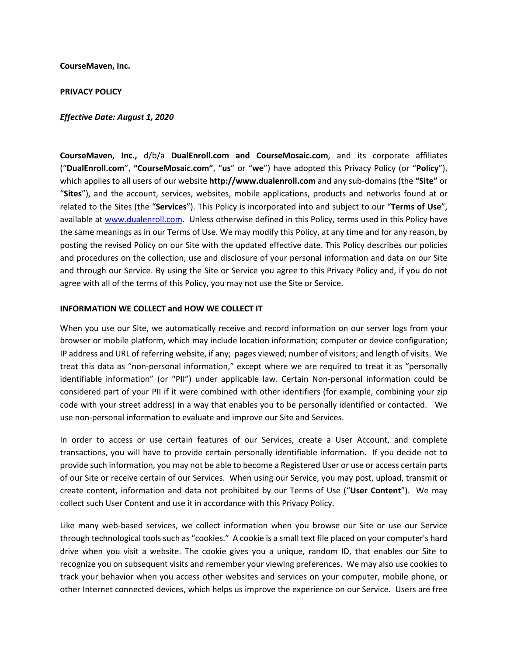**CourseMaven, Inc.**

#### **PRIVACY POLICY**

#### *Effective Date: August 1, 2020*

**CourseMaven, Inc.,** d/b/a **DualEnroll.com and CourseMosaic.com**, and its corporate affiliates ("**DualEnroll.com**", **"CourseMosaic.com"**, "**us**" or "**we**") have adopted this Privacy Policy (or "**Policy**"), which applies to all users of our website **http://www.dualenroll.com** and any sub-domains (the **"Site"** or "**Sites**"), and the account, services, websites, mobile applications, products and networks found at or related to the Sites (the "**Services**"). This Policy is incorporated into and subject to our "**Terms of Use**", available at www.dualenroll.com. Unless otherwise defined in this Policy, terms used in this Policy have the same meanings as in our Terms of Use. We may modify this Policy, at any time and for any reason, by posting the revised Policy on our Site with the updated effective date. This Policy describes our policies and procedures on the collection, use and disclosure of your personal information and data on our Site and through our Service. By using the Site or Service you agree to this Privacy Policy and, if you do not agree with all of the terms of this Policy, you may not use the Site or Service.

#### **INFORMATION WE COLLECT and HOW WE COLLECT IT**

When you use our Site, we automatically receive and record information on our server logs from your browser or mobile platform, which may include location information; computer or device configuration; IP address and URL of referring website, if any; pages viewed; number of visitors; and length of visits. We treat this data as "non-personal information," except where we are required to treat it as "personally identifiable information" (or "PII") under applicable law. Certain Non-personal information could be considered part of your PII if it were combined with other identifiers (for example, combining your zip code with your street address) in a way that enables you to be personally identified or contacted. We use non-personal information to evaluate and improve our Site and Services.

In order to access or use certain features of our Services, create a User Account, and complete transactions, you will have to provide certain personally identifiable information. If you decide not to provide such information, you may not be able to become a Registered User or use or access certain parts of our Site or receive certain of our Services. When using our Service, you may post, upload, transmit or create content, information and data not prohibited by our Terms of Use ("**User Content**"). We may collect such User Content and use it in accordance with this Privacy Policy.

Like many web-based services, we collect information when you browse our Site or use our Service through technological tools such as "cookies." A cookie is a small text file placed on your computer's hard drive when you visit a website. The cookie gives you a unique, random ID, that enables our Site to recognize you on subsequent visits and remember your viewing preferences. We may also use cookies to track your behavior when you access other websites and services on your computer, mobile phone, or other Internet connected devices, which helps us improve the experience on our Service. Users are free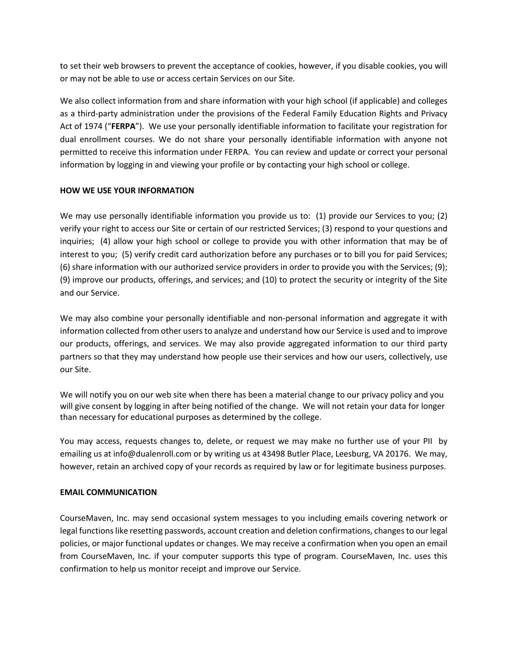to set their web browsers to prevent the acceptance of cookies, however, if you disable cookies, you will or may not be able to use or access certain Services on our Site.

We also collect information from and share information with your high school (if applicable) and colleges as a third-party administration under the provisions of the Federal Family Education Rights and Privacy Act of 1974 ("**FERPA**"). We use your personally identifiable information to facilitate your registration for dual enrollment courses. We do not share your personally identifiable information with anyone not permitted to receive this information under FERPA. You can review and update or correct your personal information by logging in and viewing your profile or by contacting your high school or college.

## **HOW WE USE YOUR INFORMATION**

We may use personally identifiable information you provide us to: (1) provide our Services to you; (2) verify your right to access our Site or certain of our restricted Services; (3) respond to your questions and inquiries; (4) allow your high school or college to provide you with other information that may be of interest to you; (5) verify credit card authorization before any purchases or to bill you for paid Services; (6) share information with our authorized service providers in order to provide you with the Services; (9); (9) improve our products, offerings, and services; and (10) to protect the security or integrity of the Site and our Service.

We may also combine your personally identifiable and non-personal information and aggregate it with information collected from other users to analyze and understand how our Service is used and to improve our products, offerings, and services. We may also provide aggregated information to our third party partners so that they may understand how people use their services and how our users, collectively, use our Site.

We will notify you on our web site when there has been a material change to our privacy policy and you will give consent by logging in after being notified of the change. We will not retain your data for longer than necessary for educational purposes as determined by the college.

You may access, requests changes to, delete, or request we may make no further use of your PII by emailing us at info@dualenroll.com or by writing us at 43498 Butler Place, Leesburg, VA 20176. We may, however, retain an archived copy of your records as required by law or for legitimate business purposes.

# **EMAIL COMMUNICATION**

CourseMaven, Inc. may send occasional system messages to you including emails covering network or legal functions like resetting passwords, account creation and deletion confirmations, changes to our legal policies, or major functional updates or changes. We may receive a confirmation when you open an email from CourseMaven, Inc. if your computer supports this type of program. CourseMaven, Inc. uses this confirmation to help us monitor receipt and improve our Service.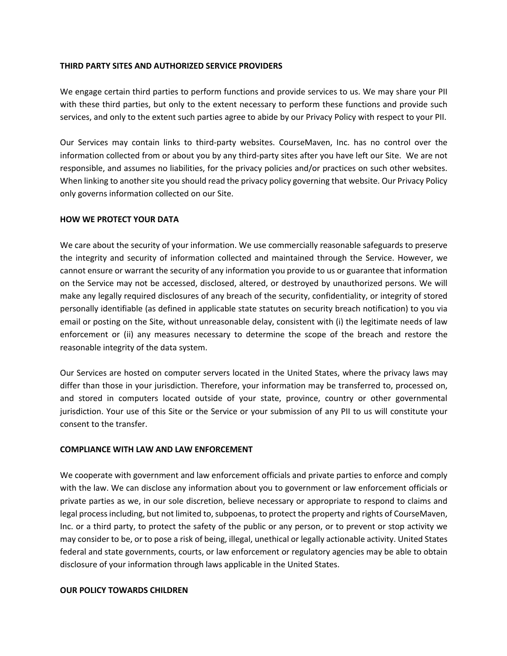## **THIRD PARTY SITES AND AUTHORIZED SERVICE PROVIDERS**

We engage certain third parties to perform functions and provide services to us. We may share your PII with these third parties, but only to the extent necessary to perform these functions and provide such services, and only to the extent such parties agree to abide by our Privacy Policy with respect to your PII.

Our Services may contain links to third-party websites. CourseMaven, Inc. has no control over the information collected from or about you by any third-party sites after you have left our Site. We are not responsible, and assumes no liabilities, for the privacy policies and/or practices on such other websites. When linking to another site you should read the privacy policy governing that website. Our Privacy Policy only governs information collected on our Site.

## **HOW WE PROTECT YOUR DATA**

We care about the security of your information. We use commercially reasonable safeguards to preserve the integrity and security of information collected and maintained through the Service. However, we cannot ensure or warrant the security of any information you provide to us or guarantee that information on the Service may not be accessed, disclosed, altered, or destroyed by unauthorized persons. We will make any legally required disclosures of any breach of the security, confidentiality, or integrity of stored personally identifiable (as defined in applicable state statutes on security breach notification) to you via email or posting on the Site, without unreasonable delay, consistent with (i) the legitimate needs of law enforcement or (ii) any measures necessary to determine the scope of the breach and restore the reasonable integrity of the data system.

Our Services are hosted on computer servers located in the United States, where the privacy laws may differ than those in your jurisdiction. Therefore, your information may be transferred to, processed on, and stored in computers located outside of your state, province, country or other governmental jurisdiction. Your use of this Site or the Service or your submission of any PII to us will constitute your consent to the transfer.

### **COMPLIANCE WITH LAW AND LAW ENFORCEMENT**

We cooperate with government and law enforcement officials and private parties to enforce and comply with the law. We can disclose any information about you to government or law enforcement officials or private parties as we, in our sole discretion, believe necessary or appropriate to respond to claims and legal process including, but not limited to, subpoenas, to protect the property and rights of CourseMaven, Inc. or a third party, to protect the safety of the public or any person, or to prevent or stop activity we may consider to be, or to pose a risk of being, illegal, unethical or legally actionable activity. United States federal and state governments, courts, or law enforcement or regulatory agencies may be able to obtain disclosure of your information through laws applicable in the United States.

### **OUR POLICY TOWARDS CHILDREN**